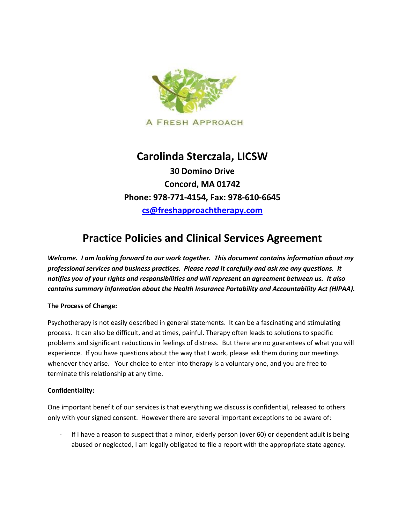

## **Carolinda Sterczala, LICSW**

**30 Domino Drive Concord, MA 01742 Phone: 978-771-4154, Fax: 978-610-6645 [cs@freshapproachtherapy.com](mailto:cs@freshapproachtherapy.com)**

# **Practice Policies and Clinical Services Agreement**

*Welcome. I am looking forward to our work together. This document contains information about my professional services and business practices. Please read it carefully and ask me any questions. It notifies you of your rights and responsibilities and will represent an agreement between us. It also contains summary information about the Health Insurance Portability and Accountability Act (HIPAA).* 

## **The Process of Change:**

Psychotherapy is not easily described in general statements. It can be a fascinating and stimulating process. It can also be difficult, and at times, painful. Therapy often leads to solutions to specific problems and significant reductions in feelings of distress. But there are no guarantees of what you will experience. If you have questions about the way that I work, please ask them during our meetings whenever they arise. Your choice to enter into therapy is a voluntary one, and you are free to terminate this relationship at any time.

#### **Confidentiality:**

One important benefit of our services is that everything we discuss is confidential, released to others only with your signed consent. However there are several important exceptions to be aware of:

If I have a reason to suspect that a minor, elderly person (over 60) or dependent adult is being abused or neglected, I am legally obligated to file a report with the appropriate state agency.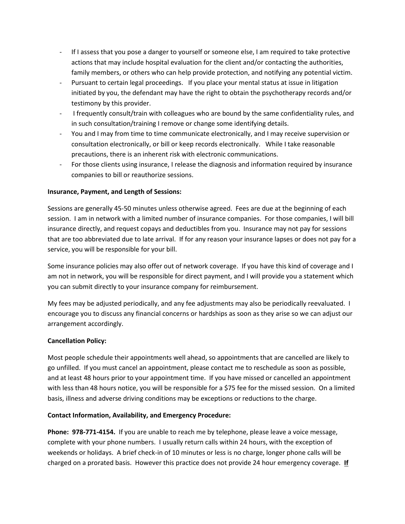- If I assess that you pose a danger to yourself or someone else, I am required to take protective actions that may include hospital evaluation for the client and/or contacting the authorities, family members, or others who can help provide protection, and notifying any potential victim.
- Pursuant to certain legal proceedings. If you place your mental status at issue in litigation initiated by you, the defendant may have the right to obtain the psychotherapy records and/or testimony by this provider.
- I frequently consult/train with colleagues who are bound by the same confidentiality rules, and in such consultation/training I remove or change some identifying details.
- You and I may from time to time communicate electronically, and I may receive supervision or consultation electronically, or bill or keep records electronically. While I take reasonable precautions, there is an inherent risk with electronic communications.
- For those clients using insurance, I release the diagnosis and information required by insurance companies to bill or reauthorize sessions.

### **Insurance, Payment, and Length of Sessions:**

Sessions are generally 45-50 minutes unless otherwise agreed. Fees are due at the beginning of each session. I am in network with a limited number of insurance companies. For those companies, I will bill insurance directly, and request copays and deductibles from you. Insurance may not pay for sessions that are too abbreviated due to late arrival. If for any reason your insurance lapses or does not pay for a service, you will be responsible for your bill.

Some insurance policies may also offer out of network coverage. If you have this kind of coverage and I am not in network, you will be responsible for direct payment, and I will provide you a statement which you can submit directly to your insurance company for reimbursement.

My fees may be adjusted periodically, and any fee adjustments may also be periodically reevaluated. I encourage you to discuss any financial concerns or hardships as soon as they arise so we can adjust our arrangement accordingly.

## **Cancellation Policy:**

Most people schedule their appointments well ahead, so appointments that are cancelled are likely to go unfilled. If you must cancel an appointment, please contact me to reschedule as soon as possible, and at least 48 hours prior to your appointment time. If you have missed or cancelled an appointment with less than 48 hours notice, you will be responsible for a \$75 fee for the missed session. On a limited basis, illness and adverse driving conditions may be exceptions or reductions to the charge.

#### **Contact Information, Availability, and Emergency Procedure:**

**Phone: 978-771-4154.** If you are unable to reach me by telephone, please leave a voice message, complete with your phone numbers. I usually return calls within 24 hours, with the exception of weekends or holidays. A brief check-in of 10 minutes or less is no charge, longer phone calls will be charged on a prorated basis. However this practice does not provide 24 hour emergency coverage. **If**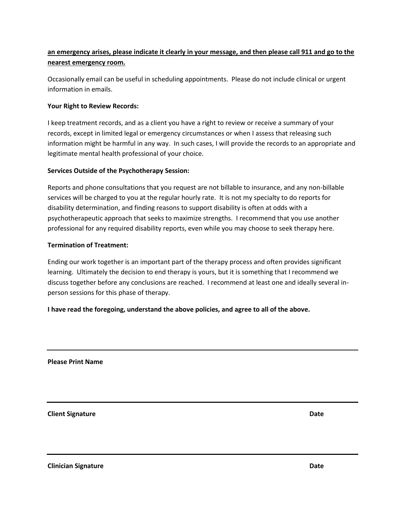## **an emergency arises, please indicate it clearly in your message, and then please call 911 and go to the nearest emergency room.**

Occasionally email can be useful in scheduling appointments. Please do not include clinical or urgent information in emails.

## **Your Right to Review Records:**

I keep treatment records, and as a client you have a right to review or receive a summary of your records, except in limited legal or emergency circumstances or when I assess that releasing such information might be harmful in any way. In such cases, I will provide the records to an appropriate and legitimate mental health professional of your choice.

### **Services Outside of the Psychotherapy Session:**

Reports and phone consultations that you request are not billable to insurance, and any non-billable services will be charged to you at the regular hourly rate. It is not my specialty to do reports for disability determination, and finding reasons to support disability is often at odds with a psychotherapeutic approach that seeks to maximize strengths. I recommend that you use another professional for any required disability reports, even while you may choose to seek therapy here.

### **Termination of Treatment:**

Ending our work together is an important part of the therapy process and often provides significant learning. Ultimately the decision to end therapy is yours, but it is something that I recommend we discuss together before any conclusions are reached. I recommend at least one and ideally several inperson sessions for this phase of therapy.

**I have read the foregoing, understand the above policies, and agree to all of the above.** 

**Please Print Name**

**Client Signature Date**

**Clinician Signature Date**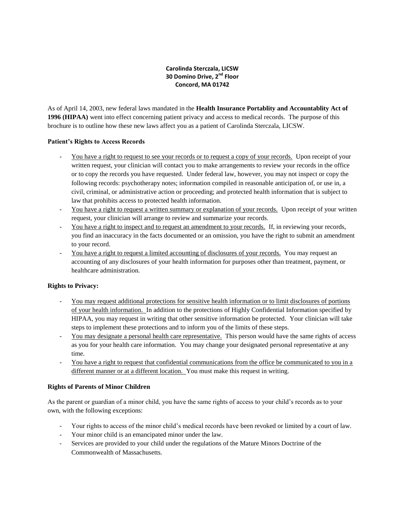#### **Carolinda Sterczala, LICSW 30 Domino Drive, 2nd Floor Concord, MA 01742**

As of April 14, 2003, new federal laws mandated in the **Health Insurance Portablity and Accountablity Act of 1996 (HIPAA)** went into effect concerning patient privacy and access to medical records. The purpose of this brochure is to outline how these new laws affect you as a patient of Carolinda Sterczala, LICSW.

#### **Patient's Rights to Access Records**

- You have a right to request to see your records or to request a copy of your records. Upon receipt of your written request, your clinician will contact you to make arrangements to review your records in the office or to copy the records you have requested. Under federal law, however, you may not inspect or copy the following records: psychotherapy notes; information compiled in reasonable anticipation of, or use in, a civil, criminal, or administrative action or proceeding; and protected health information that is subject to law that prohibits access to protected health information.
- You have a right to request a written summary or explanation of your records. Upon receipt of your written request, your clinician will arrange to review and summarize your records.
- You have a right to inspect and to request an amendment to your records. If, in reviewing your records, you find an inaccuracy in the facts documented or an omission, you have the right to submit an amendment to your record.
- You have a right to request a limited accounting of disclosures of your records. You may request an accounting of any disclosures of your health information for purposes other than treatment, payment, or healthcare administration.

#### **Rights to Privacy:**

- You may request additional protections for sensitive health information or to limit disclosures of portions of your health information. In addition to the protections of Highly Confidential Information specified by HIPAA, you may request in writing that other sensitive information be protected. Your clinician will take steps to implement these protections and to inform you of the limits of these steps.
- You may designate a personal health care representative. This person would have the same rights of access as you for your health care information. You may change your designated personal representative at any time.
- You have a right to request that confidential communications from the office be communicated to you in a different manner or at a different location. You must make this request in writing.

#### **Rights of Parents of Minor Children**

As the parent or guardian of a minor child, you have the same rights of access to your child's records as to your own, with the following exceptions:

- Your rights to access of the minor child's medical records have been revoked or limited by a court of law.
- Your minor child is an emancipated minor under the law.
- Services are provided to your child under the regulations of the Mature Minors Doctrine of the Commonwealth of Massachusetts.